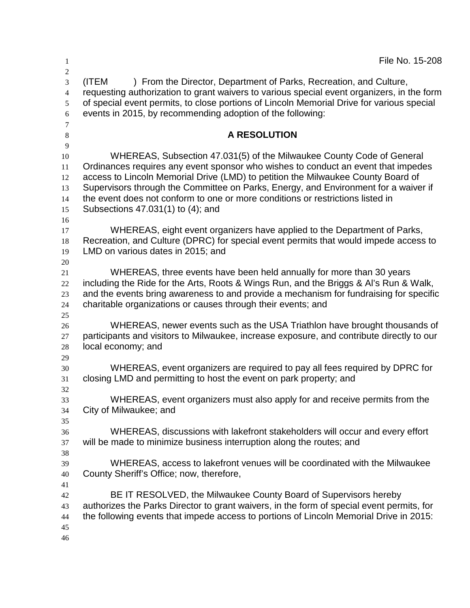| $\mathbf{1}$                                 | File No. 15-208                                                                                                                                                                                                                                                                                                                                                                                                                                              |  |  |  |
|----------------------------------------------|--------------------------------------------------------------------------------------------------------------------------------------------------------------------------------------------------------------------------------------------------------------------------------------------------------------------------------------------------------------------------------------------------------------------------------------------------------------|--|--|--|
| 2<br>3<br>$\overline{4}$<br>5<br>6<br>$\tau$ | (ITEM<br>) From the Director, Department of Parks, Recreation, and Culture,<br>requesting authorization to grant waivers to various special event organizers, in the form<br>of special event permits, to close portions of Lincoln Memorial Drive for various special<br>events in 2015, by recommending adoption of the following:                                                                                                                         |  |  |  |
| $\,8\,$                                      | A RESOLUTION                                                                                                                                                                                                                                                                                                                                                                                                                                                 |  |  |  |
| 9<br>10<br>11<br>12<br>13<br>14<br>15<br>16  | WHEREAS, Subsection 47.031(5) of the Milwaukee County Code of General<br>Ordinances requires any event sponsor who wishes to conduct an event that impedes<br>access to Lincoln Memorial Drive (LMD) to petition the Milwaukee County Board of<br>Supervisors through the Committee on Parks, Energy, and Environment for a waiver if<br>the event does not conform to one or more conditions or restrictions listed in<br>Subsections 47.031(1) to (4); and |  |  |  |
| 17<br>18<br>19                               | WHEREAS, eight event organizers have applied to the Department of Parks,<br>Recreation, and Culture (DPRC) for special event permits that would impede access to<br>LMD on various dates in 2015; and                                                                                                                                                                                                                                                        |  |  |  |
| 20<br>21<br>22<br>23<br>24                   | WHEREAS, three events have been held annually for more than 30 years<br>including the Ride for the Arts, Roots & Wings Run, and the Briggs & Al's Run & Walk,<br>and the events bring awareness to and provide a mechanism for fundraising for specific<br>charitable organizations or causes through their events; and                                                                                                                                      |  |  |  |
| 25<br>26<br>27<br>28<br>29                   | WHEREAS, newer events such as the USA Triathlon have brought thousands of<br>participants and visitors to Milwaukee, increase exposure, and contribute directly to our<br>local economy; and                                                                                                                                                                                                                                                                 |  |  |  |
| 30<br>31                                     | WHEREAS, event organizers are required to pay all fees required by DPRC for<br>closing LMD and permitting to host the event on park property; and                                                                                                                                                                                                                                                                                                            |  |  |  |
| 32<br>33<br>34<br>35                         | WHEREAS, event organizers must also apply for and receive permits from the<br>City of Milwaukee; and                                                                                                                                                                                                                                                                                                                                                         |  |  |  |
| 36<br>37<br>38                               | WHEREAS, discussions with lakefront stakeholders will occur and every effort<br>will be made to minimize business interruption along the routes; and                                                                                                                                                                                                                                                                                                         |  |  |  |
| 39<br>40<br>41                               | WHEREAS, access to lakefront venues will be coordinated with the Milwaukee<br>County Sheriff's Office; now, therefore,                                                                                                                                                                                                                                                                                                                                       |  |  |  |
| 42<br>43<br>44<br>45<br>46                   | BE IT RESOLVED, the Milwaukee County Board of Supervisors hereby<br>authorizes the Parks Director to grant waivers, in the form of special event permits, for<br>the following events that impede access to portions of Lincoln Memorial Drive in 2015:                                                                                                                                                                                                      |  |  |  |